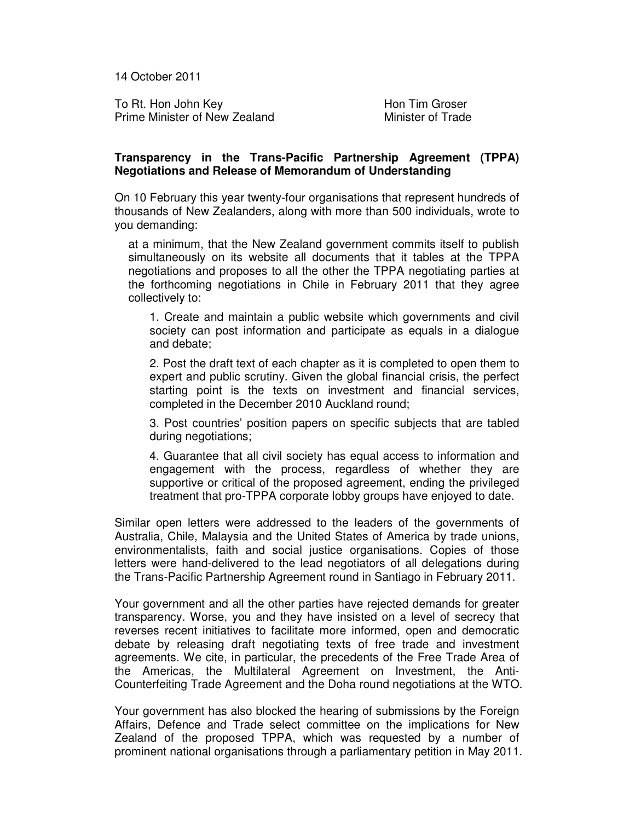14 October 2011

To Rt. Hon John Key **Hon Tim Groser** Prime Minister of New Zealand Minister of Trade

## **Transparency in the Trans-Pacific Partnership Agreement (TPPA) Negotiations and Release of Memorandum of Understanding**

On 10 February this year twenty-four organisations that represent hundreds of thousands of New Zealanders, along with more than 500 individuals, wrote to you demanding:

at a minimum, that the New Zealand government commits itself to publish simultaneously on its website all documents that it tables at the TPPA negotiations and proposes to all the other the TPPA negotiating parties at the forthcoming negotiations in Chile in February 2011 that they agree collectively to:

1. Create and maintain a public website which governments and civil society can post information and participate as equals in a dialogue and debate;

2. Post the draft text of each chapter as it is completed to open them to expert and public scrutiny. Given the global financial crisis, the perfect starting point is the texts on investment and financial services, completed in the December 2010 Auckland round;

3. Post countries' position papers on specific subjects that are tabled during negotiations;

4. Guarantee that all civil society has equal access to information and engagement with the process, regardless of whether they are supportive or critical of the proposed agreement, ending the privileged treatment that pro-TPPA corporate lobby groups have enjoyed to date.

Similar open letters were addressed to the leaders of the governments of Australia, Chile, Malaysia and the United States of America by trade unions, environmentalists, faith and social justice organisations. Copies of those letters were hand-delivered to the lead negotiators of all delegations during the Trans-Pacific Partnership Agreement round in Santiago in February 2011.

Your government and all the other parties have rejected demands for greater transparency. Worse, you and they have insisted on a level of secrecy that reverses recent initiatives to facilitate more informed, open and democratic debate by releasing draft negotiating texts of free trade and investment agreements. We cite, in particular, the precedents of the Free Trade Area of the Americas, the Multilateral Agreement on Investment, the Anti-Counterfeiting Trade Agreement and the Doha round negotiations at the WTO.

Your government has also blocked the hearing of submissions by the Foreign Affairs, Defence and Trade select committee on the implications for New Zealand of the proposed TPPA, which was requested by a number of prominent national organisations through a parliamentary petition in May 2011.